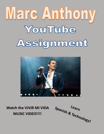# Marc Anthony YouTube Assignment



**Watch the VIVIR MI VIDA MUSIC VIDEO!!!!**

**Learn Spanish & Technology!**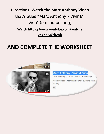## **Directions: Watch the Marc Anthony Video that's titled "**Marc Anthony - Vivir Mi Vida" (5 minutes long) **Watch [https://www.youtube.com/watch?](https://www.youtube.com/watch?v=YXnjy5YlDwk) [v=YXnjy5YlDwk](https://www.youtube.com/watch?v=YXnjy5YlDwk)**

## **AND COMPLETE THE WORKSHEET**



#### Marc Anthony - Vivir Mi Vida

Marc Anthony # 829M views · 5 years ago

Vídeo oficial de Marc Anthony de su tema 'Vivir Spotify: ...

 $cc$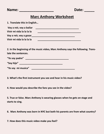**Name: \_\_\_\_\_\_\_\_\_\_\_\_\_\_\_\_\_ Date: \_\_\_\_\_**

#### **Marc Anthony Worksheet**

| 1. Translate this in English |  |
|------------------------------|--|
| Voy a reír, voy a bailar     |  |
| Vivir mi vida la la la la    |  |
| Voy a reír, voy a gozar      |  |
| Vivir mi vida la la la la    |  |

**2. In the beginning of the music video, Marc Anthony says the following. Translate the sentences.**

| "Yo soy padre"     |  |
|--------------------|--|
| "Soy hijo"         |  |
| "Yo soy mi musica" |  |

**3. What's the first instrument you see and hear in his music video?**

**4. How would you describe the fans you see in the video?**

**5. True or false. Marc Anthony is wearing glasses when he gets on stage and starts to sing.** 

**6. Marc Anthony was born in NYC but both his parents are from what country?** 

**7. How does this music video make you feel?**